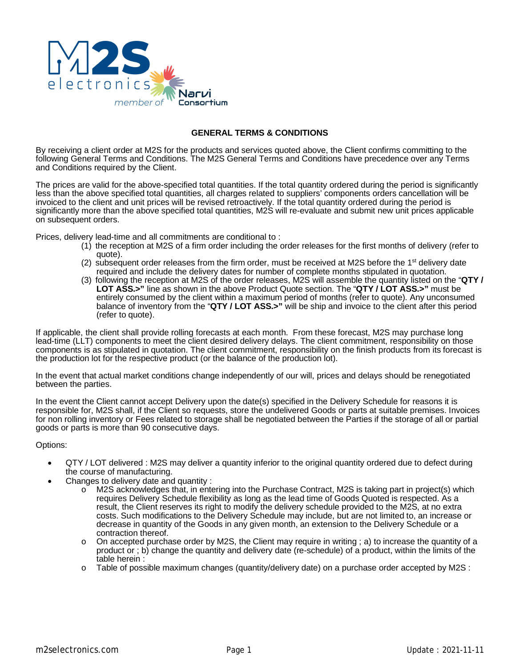

## **GENERAL TERMS & CONDITIONS**

By receiving a client order at M2S for the products and services quoted above, the Client confirms committing to the following General Terms and Conditions. The M2S General Terms and Conditions have precedence over any Terms and Conditions required by the Client.

The prices are valid for the above-specified total quantities. If the total quantity ordered during the period is significantly less than the above specified total quantities, all charges related to suppliers' components orders cancellation will be invoiced to the client and unit prices will be revised retroactively. If the total quantity ordered during the period is significantly more than the above specified total quantities, M2S will re-evaluate and submit new unit prices applicable on subsequent orders.

Prices, delivery lead-time and all commitments are conditional to :

- (1) the reception at M2S of a firm order including the order releases for the first months of delivery (refer to quote).
- (2) subsequent order releases from the firm order, must be received at M2S before the  $1<sup>st</sup>$  delivery date required and include the delivery dates for number of complete months stipulated in quotation.
- (3) following the reception at M2S of the order releases, M2S will assemble the quantity listed on the "**QTY / LOT ASS.>"** line as shown in the above Product Quote section. The "**QTY / LOT ASS.>"** must be entirely consumed by the client within a maximum period of months (refer to quote). Any unconsumed balance of inventory from the "**QTY / LOT ASS.>"** will be ship and invoice to the client after this period (refer to quote).

If applicable, the client shall provide rolling forecasts at each month. From these forecast, M2S may purchase long lead-time (LLT) components to meet the client desired delivery delays. The client commitment, responsibility on those components is as stipulated in quotation. The client commitment, responsibility on the finish products from its forecast is the production lot for the respective product (or the balance of the production lot).

In the event that actual market conditions change independently of our will, prices and delays should be renegotiated between the parties.

In the event the Client cannot accept Delivery upon the date(s) specified in the Delivery Schedule for reasons it is responsible for, M2S shall, if the Client so requests, store the undelivered Goods or parts at suitable premises. Invoices for non rolling inventory or Fees related to storage shall be negotiated between the Parties if the storage of all or partial goods or parts is more than 90 consecutive days.

Options:

- QTY / LOT delivered : M2S may deliver a quantity inferior to the original quantity ordered due to defect during the course of manufacturing.
- Changes to delivery date and quantity :
	- o M2S acknowledges that, in entering into the Purchase Contract, M2S is taking part in project(s) which requires Delivery Schedule flexibility as long as the lead time of Goods Quoted is respected. As a result, the Client reserves its right to modify the delivery schedule provided to the M2S, at no extra costs. Such modifications to the Delivery Schedule may include, but are not limited to, an increase or decrease in quantity of the Goods in any given month, an extension to the Delivery Schedule or a contraction thereof.
	- $\circ$  On accepted purchase order by M2S, the Client may require in writing ; a) to increase the quantity of a product or ; b) change the quantity and delivery date (re-schedule) of a product, within the limits of the table herein :
	- $\circ$  Table of possible maximum changes (quantity/delivery date) on a purchase order accepted by M2S :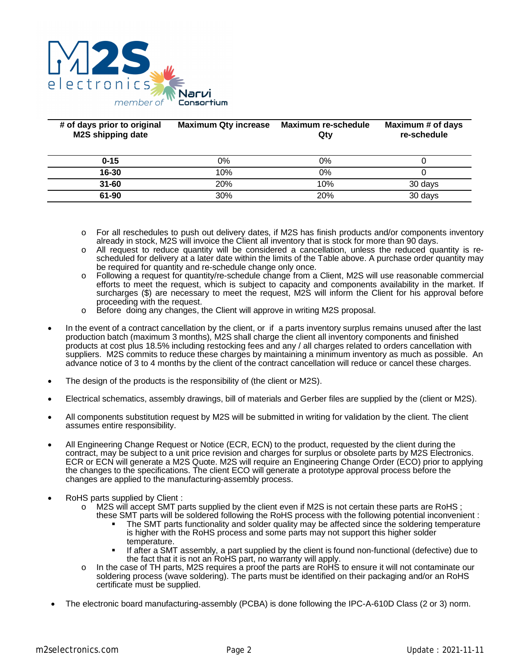

| # of days prior to original<br><b>M2S shipping date</b> | <b>Maximum Qty increase</b> | <b>Maximum re-schedule</b><br>Qty | Maximum # of days<br>re-schedule |
|---------------------------------------------------------|-----------------------------|-----------------------------------|----------------------------------|
| $0 - 15$                                                | 0%                          | 0%                                |                                  |
| 16-30                                                   | 10%                         | 0%                                |                                  |
| $31 - 60$                                               | <b>20%</b>                  | 10%                               | 30 days                          |
| 61-90                                                   | 30%                         | 20%                               | 30 days                          |
|                                                         |                             |                                   |                                  |

- $\circ$  For all reschedules to push out delivery dates, if M2S has finish products and/or components inventory already in stock, M2S will invoice the Client all inventory that is stock for more than 90 days.
- o All request to reduce quantity will be considered a cancellation, unless the reduced quantity is rescheduled for delivery at a later date within the limits of the Table above. A purchase order quantity may be required for quantity and re-schedule change only once.
- o Following a request for quantity/re-schedule change from a Client, M2S will use reasonable commercial efforts to meet the request, which is subject to capacity and components availability in the market. If surcharges (\$) are necessary to meet the request, M2S will inform the Client for his approval before proceeding with the request.
- o Before doing any changes, the Client will approve in writing M2S proposal.
- In the event of a contract cancellation by the client, or if a parts inventory surplus remains unused after the last production batch (maximum 3 months), M2S shall charge the client all inventory components and finished products at cost plus 18.5% including restocking fees and any / all charges related to orders cancellation with suppliers. M2S commits to reduce these charges by maintaining a minimum inventory as much as possible. An advance notice of 3 to 4 months by the client of the contract cancellation will reduce or cancel these charges.
- The design of the products is the responsibility of (the client or M2S).
- Electrical schematics, assembly drawings, bill of materials and Gerber files are supplied by the (client or M2S).
- All components substitution request by M2S will be submitted in writing for validation by the client. The client assumes entire responsibility.
- All Engineering Change Request or Notice (ECR, ECN) to the product, requested by the client during the contract, may be subject to a unit price revision and charges for surplus or obsolete parts by M2S Electronics. ECR or ECN will generate a M2S Quote. M2S will require an Engineering Change Order (ECO) prior to applying the changes to the specifications. The client ECO will generate a prototype approval process before the changes are applied to the manufacturing-assembly process.
- RoHS parts supplied by Client :
	- $\circ$  M2S will accept SMT parts supplied by the client even if M2S is not certain these parts are RoHS; these SMT parts will be soldered following the RoHS process with the following potential inconvenient :
		- The SMT parts functionality and solder quality may be affected since the soldering temperature is higher with the RoHS process and some parts may not support this higher solder temperature.
		- If after a SMT assembly, a part supplied by the client is found non-functional (defective) due to the fact that it is not an RoHS part, no warranty will apply.
	- o In the case of TH parts, M2S requires a proof the parts are RoHS to ensure it will not contaminate our soldering process (wave soldering). The parts must be identified on their packaging and/or an RoHS certificate must be supplied.
- The electronic board manufacturing-assembly (PCBA) is done following the IPC-A-610D Class (2 or 3) norm.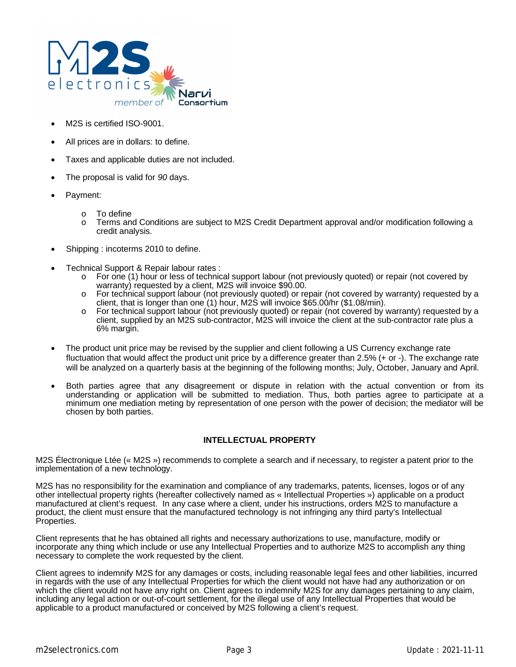

- M2S is certified ISO-9001.
- All prices are in dollars: to define.
- Taxes and applicable duties are not included.
- The proposal is valid for *90* days.
- Payment:
	- o To define
	- o Terms and Conditions are subject to M2S Credit Department approval and/or modification following a credit analysis.
- Shipping : incoterms 2010 to define.
- Technical Support & Repair labour rates :
	- o For one (1) hour or less of technical support labour (not previously quoted) or repair (not covered by warranty) requested by a client, M2S will invoice \$90.00.
	- o For technical support labour (not previously quoted) or repair (not covered by warranty) requested by a client, that is longer than one (1) hour, M2S will invoice \$65.00/hr (\$1.08/min).
	- o For technical support labour (not previously quoted) or repair (not covered by warranty) requested by a client, supplied by an M2S sub-contractor, M2S will invoice the client at the sub-contractor rate plus a 6% margin.
- The product unit price may be revised by the supplier and client following a US Currency exchange rate fluctuation that would affect the product unit price by a difference greater than 2.5% (+ or -). The exchange rate will be analyzed on a quarterly basis at the beginning of the following months; July, October, January and April.
- Both parties agree that any disagreement or dispute in relation with the actual convention or from its understanding or application will be submitted to mediation. Thus, both parties agree to participate at a minimum one mediation meting by representation of one person with the power of decision; the mediator will be chosen by both parties.

## **INTELLECTUAL PROPERTY**

M2S Électronique Ltée (« M2S ») recommends to complete a search and if necessary, to register a patent prior to the implementation of a new technology.

M2S has no responsibility for the examination and compliance of any trademarks, patents, licenses, logos or of any other intellectual property rights (hereafter collectively named as « Intellectual Properties ») applicable on a product manufactured at client's request. In any case where a client, under his instructions, orders M2S to manufacture a product, the client must ensure that the manufactured technology is not infringing any third party's Intellectual Properties.

Client represents that he has obtained all rights and necessary authorizations to use, manufacture, modify or incorporate any thing which include or use any Intellectual Properties and to authorize M2S to accomplish any thing necessary to complete the work requested by the client.

Client agrees to indemnify M2S for any damages or costs, including reasonable legal fees and other liabilities, incurred in regards with the use of any Intellectual Properties for which the client would not have had any authorization or on which the client would not have any right on. Client agrees to indemnify M2S for any damages pertaining to any claim, including any legal action or out-of-court settlement, for the illegal use of any Intellectual Properties that would be applicable to a product manufactured or conceived by M2S following a client's request.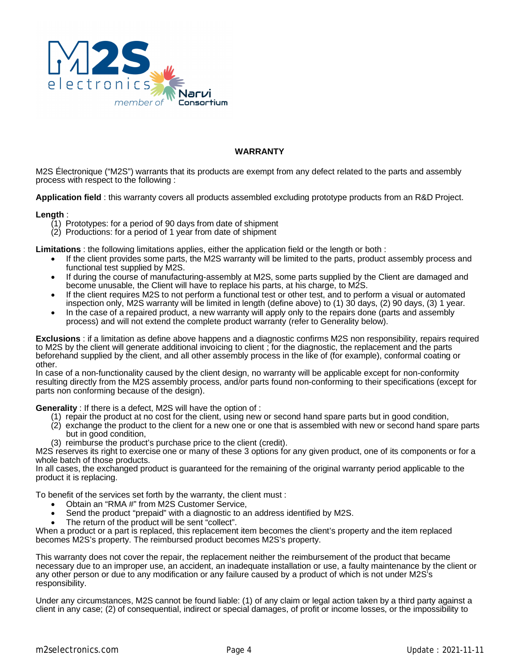

## **WARRANTY**

M2S Électronique ("M2S") warrants that its products are exempt from any defect related to the parts and assembly process with respect to the following :

**Application field** : this warranty covers all products assembled excluding prototype products from an R&D Project.

## **Length** :

- $(1)$  Prototypes: for a period of 90 days from date of shipment
- (2) Productions: for a period of 1 year from date of shipment

**Limitations** : the following limitations applies, either the application field or the length or both :

- If the client provides some parts, the M2S warranty will be limited to the parts, product assembly process and functional test supplied by M2S.
- If during the course of manufacturing-assembly at M2S, some parts supplied by the Client are damaged and become unusable, the Client will have to replace his parts, at his charge, to M2S.
- If the client requires M2S to not perform a functional test or other test, and to perform a visual or automated inspection only, M2S warranty will be limited in length (define above) to (1) 30 days, (2) 90 days, (3) 1 year.
- In the case of a repaired product, a new warranty will apply only to the repairs done (parts and assembly process) and will not extend the complete product warranty (refer to Generality below).

**Exclusions** : if a limitation as define above happens and a diagnostic confirms M2S non responsibility, repairs required to M2S by the client will generate additional invoicing to client ; for the diagnostic, the replacement and the parts beforehand supplied by the client, and all other assembly process in the like of (for example), conformal coating or other.

In case of a non-functionality caused by the client design, no warranty will be applicable except for non-conformity resulting directly from the M2S assembly process, and/or parts found non-conforming to their specifications (except for parts non conforming because of the design).

**Generality** : If there is a defect, M2S will have the option of :

- (1) repair the product at no cost for the client, using new or second hand spare parts but in good condition,
- (2) exchange the product to the client for a new one or one that is assembled with new or second hand spare parts but in good condition,
- (3) reimburse the product's purchase price to the client (credit).

M2S reserves its right to exercise one or many of these 3 options for any given product, one of its components or for a whole batch of those products.

In all cases, the exchanged product is guaranteed for the remaining of the original warranty period applicable to the product it is replacing.

To benefit of the services set forth by the warranty, the client must :

- Obtain an "RMA #" from M2S Customer Service,
- Send the product "prepaid" with a diagnostic to an address identified by M2S.
- The return of the product will be sent "collect".

When a product or a part is replaced, this replacement item becomes the client's property and the item replaced becomes M2S's property. The reimbursed product becomes M2S's property.

This warranty does not cover the repair, the replacement neither the reimbursement of the product that became necessary due to an improper use, an accident, an inadequate installation or use, a faulty maintenance by the client or any other person or due to any modification or any failure caused by a product of which is not under M2S's responsibility.

Under any circumstances, M2S cannot be found liable: (1) of any claim or legal action taken by a third party against a client in any case; (2) of consequential, indirect or special damages, of profit or income losses, or the impossibility to